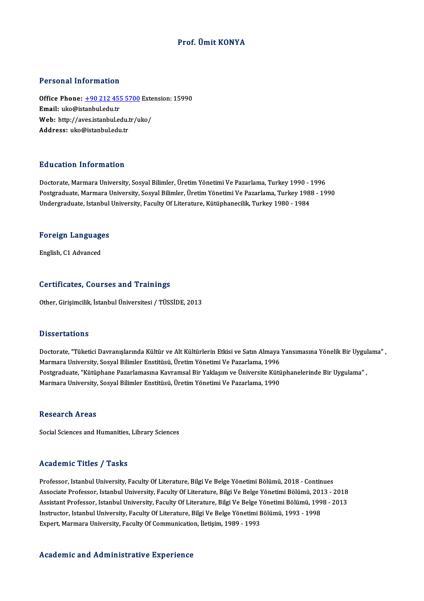# Prof. Ümit KONYA

## Personal Information

Personal Information<br>Office Phone: <u>+90 212 455 5700</u> Extension: 15990<br>Email: who@istanbul.edu.tr Procession and the matrice.<br>
Office Phone: <u>+90 212 455</u><br>
Email: uko@istanbul.edu.tr Office Phone: <u>+90 212 455 5700</u> Exte<br>Email: uko@istanbul.edu.tr<br>Web: http://a[ves.istanbul.edu.tr/u](tel:+90 212 455 5700)ko/ Email: uko@istanbul.edu.tr<br>Web: http://aves.istanbul.edu.tr/uko/<br>Address: uko@istanbul.edu.tr

## Education Information

**Education Information<br>Doctorate, Marmara University, Sosyal Bilimler, Üretim Yönetimi Ve Pazarlama, Turkey 1990 - 1996<br>Postsraduate Marmara University, Sosyal Bilimler, Üretim Yönetimi Ve Pazarlama, Turkey 1999 - 19** Postgraduate, Marmara University, Sosyal Bilimler, Üretim Yönetimi Ve Pazarlama, Turkey 1988 - 1990<br>Undergraduate, Istanbul University, Faculty Of Literature, Kütüphanecilik, Turkey 1980 - 1984 Doctorate, Marmara University, Sosyal Bilimler, Üretim Yönetimi Ve Pazarlama, Turkey 1990 - :<br>Postgraduate, Marmara University, Sosyal Bilimler, Üretim Yönetimi Ve Pazarlama, Turkey 1981<br>Undergraduate, Istanbul University,

# <sub>ondergraduate, istanbul</sub><br>Foreign Languages F<mark>oreign Languag</mark>e<br>English, C1 Advanced

# English, C1 Advanced<br>Certificates, Courses and Trainings

Other, Girişimcilik, İstanbul Üniversitesi / TÜSSİDE, 2013

### **Dissertations**

Dissertations<br>Doctorate, "Tüketici Davranışlarında Kültür ve Alt Kültürlerin Etkisi ve Satın Almaya Yansımasına Yönelik Bir Uygulama" ,<br>Marmara University, Sasyal Bilimlar Enstitüsü, Üretim Yönetimi Ve Pazarlama, 1996 D'isser tatrems<br>Doctorate, "Tüketici Davranışlarında Kültür ve Alt Kültürlerin Etkisi ve Satın Almaya<br>Marmara University, Sosyal Bilimler Enstitüsü, Üretim Yönetimi Ve Pazarlama, 1996<br>Postsraduate, "Kütünbane Pazarlamasına Doctorate, "Tüketici Davranışlarında Kültür ve Alt Kültürlerin Etkisi ve Satın Almaya Yansımasına Yönelik Bir Uygul<br>Marmara University, Sosyal Bilimler Enstitüsü, Üretim Yönetimi Ve Pazarlama, 1996<br>Postgraduate, "Kütüphane Marmara University, Sosyal Bilimler Enstitüsü, Üretim Yönetimi Ve Pazarlama, 1996<br>Postgraduate, "Kütüphane Pazarlamasına Kavramsal Bir Yaklaşım ve Üniversite Kütü<br>Marmara University, Sosyal Bilimler Enstitüsü, Üretim Yönet Marmara University, Sosyal Bilimler Enstitüsü, Üretim Yönetimi Ve Pazarlama, 1990<br>Research Areas

Social Sciences and Humanities, Library Sciences

### Academic Titles / Tasks

Professor, Istanbul University, Faculty Of Literature, Bilgi Ve Belge Yönetimi Bölümü, 2018 - Continues Associate Articus 7 Austis<br>Professor, Istanbul University, Faculty Of Literature, Bilgi Ve Belge Yönetimi Bölümü, 2018 - Continues<br>Associate Professor, Istanbul University, Faculty Of Literature, Bilgi Ve Belge Yönetimi Bö Professor, Istanbul University, Faculty Of Literature, Bilgi Ve Belge Yönetimi Bölümü, 2018 - Continues<br>Associate Professor, Istanbul University, Faculty Of Literature, Bilgi Ve Belge Yönetimi Bölümü, 2013 - 2018<br>Assistant Associate Professor, Istanbul University, Faculty Of Literature, Bilgi Ve Belge Yönetimi Bölümü, 201<br>Assistant Professor, Istanbul University, Faculty Of Literature, Bilgi Ve Belge Yönetimi Bölümü, 199<br>Instructor, Istanbul Assistant Professor, Istanbul University, Faculty Of Literature, Bilgi Ve Belge Yönetimi Bölümü, 1998 - 2013<br>Instructor, Istanbul University, Faculty Of Literature, Bilgi Ve Belge Yönetimi Bölümü, 1993 - 1998<br>Expert, Marma

### Academic and Administrative Experience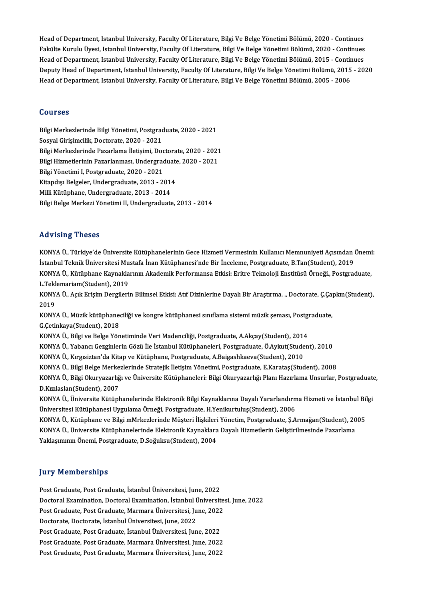Head of Department, Istanbul University, Faculty Of Literature, Bilgi Ve Belge Yönetimi Bölümü, 2020 - Continues<br>Felsüke Kumılu Üyesi, Istanbul University, Faculty Of Literature, Bilgi Ve Belge Yönetimi Bölümü, 2020 - Cont Head of Department, Istanbul University, Faculty Of Literature, Bilgi Ve Belge Yönetimi Bölümü, 2020 - Continues<br>Fakülte Kurulu Üyesi, Istanbul University, Faculty Of Literature, Bilgi Ve Belge Yönetimi Bölümü, 2020 - Cont Head of Department, Istanbul University, Faculty Of Literature, Bilgi Ve Belge Yönetimi Bölümü, 2020 - Continues<br>Fakülte Kurulu Üyesi, Istanbul University, Faculty Of Literature, Bilgi Ve Belge Yönetimi Bölümü, 2020 - Cont Fakülte Kurulu Üyesi, Istanbul University, Faculty Of Literature, Bilgi Ve Belge Yönetimi Bölümü, 2020 - Continues<br>Head of Department, Istanbul University, Faculty Of Literature, Bilgi Ve Belge Yönetimi Bölümü, 2015 - Cont Head of Department, Istanbul University, Faculty Of Literature, Bilgi Ve Belge Yönetimi Bölümü, 2015 - Contir<br>Deputy Head of Department, Istanbul University, Faculty Of Literature, Bilgi Ve Belge Yönetimi Bölümü, 2015<br>Head Head of Department, Istanbul University, Faculty Of Literature, Bilgi Ve Belge Yönetimi Bölümü, 2005 - 2006<br>Courses

Bilgi Merkezlerinde Bilgi Yönetimi, Postgraduate, 2020 - 2021 Sosyal Girişimcilik, Doctorate, 2020 - 2021 Bilgi Merkezlerinde Bilgi Yönetimi, Postgraduate, 2020 - 2021<br>Sosyal Girişimcilik, Doctorate, 2020 - 2021<br>Bilgi Merkezlerinde Pazarlama İletişimi, Doctorate, 2020 - 2021<br>Bilgi Higmatlarinin Pazarlanması, Undergraduate, 202 Sosyal Girişimcilik, Doctorate, 2020 - 2021<br>Bilgi Merkezlerinde Pazarlama İletişimi, Doctorate, 2020 - 2021<br>Bilgi Hizmetlerinin Pazarlanması, Undergraduate, 2020 - 2021<br>Bilgi Yönetimi I. Rostanaduate, 2020 - 2021 Bilgi Merkezlerinde Pazarlama İletişimi, Doc<br>Bilgi Hizmetlerinin Pazarlanması, Undergrad<br>Bilgi Yönetimi I, Postgraduate, 2020 - 2021<br>Vitandua Belgeler, Undergraduate, 2013 - 24 Bilgi Hizmetlerinin Pazarlanması, Undergraduate, 2020 - 2021<br>Bilgi Yönetimi I, Postgraduate, 2020 - 2021<br>Kitapdışı Belgeler, Undergraduate, 2013 - 2014<br>Milli Kütüphane, Undergraduate, 2013 - 2014 Kitapdışı Belgeler, Undergraduate, 2013 - 2014 Bilgi Belge Merkezi Yönetimi II, Undergraduate, 2013 - 2014

### Advising Theses

Advising Theses<br>KONYA Ü., Türkiye'de Üniversite Kütüphanelerinin Gece Hizmeti Vermesinin Kullanıcı Memnuniyeti Açısından Önemi:<br>İstanbul Telmik Üniversitesi Mustafa İnan Kütüphanesi'nde Bir İnseleme Bestaraduata B.Tan(Stud ISTANDING I ISSSES<br>KONYA Ü., Türkiye'de Üniversite Kütüphanelerinin Gece Hizmeti Vermesinin Kullanıcı Memnuniyeti Açısından (<br>İstanbul Teknik Üniversitesi Mustafa İnan Kütüphanesi'nde Bir İnceleme, Postgraduate, B.Tan(Stud KONYA Ü., Türkiye'de Üniversite Kütüphanelerinin Gece Hizmeti Vermesinin Kullanıcı Memnuniyeti Açısından Önemi<br>İstanbul Teknik Üniversitesi Mustafa İnan Kütüphanesi'nde Bir İnceleme, Postgraduate, B.Tan(Student), 2019<br>KONY İstanbul Teknik Üniversitesi Mustafa İnan Kütüphanesi'nde Bir İnceleme, Postgraduate, B.Tan(Student), 2019<br>KONYA Ü., Kütüphane Kaynaklarının Akademik Performansa Etkisi: Eritre Teknoloji Enstitüsü Örneği., Postgra<br>L.Teklem KONYA Ü., Kütüphane Kaynaklarının Akademik Performansa Etkisi: Eritre Teknoloji Enstitüsü Örneği., Postgraduate,<br>L.Teklemariam(Student), 2019<br>KONYA Ü., Açık Erişim Dergilerin Bilimsel Etkisi: Atıf Dizinlerine Dayalı Bir Ar

KONYA Ü., Açık Erişim Dergilerin Bilimsel Etkisi: Atıf Dizinlerine Dayalı Bir Araştırma. "Doctorate, C.Capkın(Student), KONYA Ü., Açık Erişim Dergilerin Bilimsel Etkisi: Atıf Dizinlerine Dayalı Bir Araştırma. ., Doctorate, Ç.Ça<sub>l</sub><br>2019<br>KONYA Ü., Müzik kütüphaneciliği ve kongre kütüphanesi sınıflama sistemi müzik şeması, Postgraduate,<br>C.Ceti

2019<br>KONYA Ü., Müzik kütüphane<br>G.Çetinkaya(Student), 2018<br>KONYA Ü. Bilgi ve Belge Yön KONYA Ü., Müzik kütüphaneciliği ve kongre kütüphanesi sınıflama sistemi müzik şeması, Postgı<br>G.Çetinkaya(Student), 2018<br>KONYA Ü., Bilgi ve Belge Yönetiminde Veri Madenciliği, Postgraduate, A.Akçay(Student), 2014<br>KONYA Ü., G.Çetinkaya(Student), 2018<br>KONYA Ü., Bilgi ve Belge Yönetiminde Veri Madenciliği, Postgraduate, A.Akçay(Student), 2014<br>KONYA Ü., Yabancı Gezginlerin Gözü İle İstanbul Kütüphaneleri, Postgraduate, Ö.Aykut(Student), 2010<br>KON

KONYA Ü., Bilgi ve Belge Yönetiminde Veri Madenciliği, Postgraduate, A.Akçay(Student), 2014<br>KONYA Ü., Yabancı Gezginlerin Gözü İle İstanbul Kütüphaneleri, Postgraduate, Ö.Aykut(Stude<br>KONYA Ü., Kırgısiztan'da Kitap ve Kütüp

KONYA Ü., Yabancı Gezginlerin Gözü İle İstanbul Kütüphaneleri, Postgraduate, Ö.Aykut(Student), 2010<br>KONYA Ü., Kırgısiztan'da Kitap ve Kütüphane, Postgraduate, A.Baigashkaeva(Student), 2010<br>KONYA Ü., Bilgi Belge Merkezlerin

KONYA Ü., Kırgısiztan'da Kitap ve Kütüphane, Postgraduate, A.Baigashkaeva(Student), 2010<br>KONYA Ü., Bilgi Belge Merkezlerinde Stratejik İletişim Yönetimi, Postgraduate, E.Karataş(Student), 2008<br>KONYA Ü., Bilgi Okuryazarlığı KONYA Ü., Bilgi Belge Merke<br>KONYA Ü., Bilgi Okuryazarlığ<br>D.Kızılaslan(Student), 2007<br>KONYA Ü. Üniversite Kütünk KONYA Ü., Bilgi Okuryazarlığı ve Üniversite Kütüphaneleri: Bilgi Okuryazarlığı Planı Hazırlama Unsurlar, Postgraduato<br>D.Kızılaslan(Student), 2007<br>KONYA Ü., Üniversite Kütüphanelerinde Elektronik Bilgi Kaynaklarına Dayalı Y

D.Kızılaslan(Student), 2007<br>KONYA Ü., Üniversite Kütüphanelerinde Elektronik Bilgi Kaynaklarına Dayalı Yararlandırı<br>Üniversitesi Kütüphanesi Uygulama Örneği, Postgraduate, H.Yenikurtuluş(Student), 2006 KONYA Ü., Üniversite Kütüphanelerinde Elektronik Bilgi Kaynaklarına Dayalı Yararlandırma Hizmeti ve İstanbul Bilgi<br>Üniversitesi Kütüphanesi Uygulama Örneği, Postgraduate, H.Yenikurtuluş(Student), 2006<br>KONYA Ü., Kütüphane v

KONYA Ü., Kütüphane ve Bilgi mMrkezlerinde Müsteri İlişkileri Yönetim, Postgraduate, Ş.Armağan(Student), 2005 YaklaşımınınÖnemi,Postgraduate,D.Soğuksu(Student),2004

### **Jury Memberships**

Post Graduate, Post Graduate, İstanbul Üniversitesi, June, 2022

Jury Trembertmys<br>Post Graduate, Post Graduate, İstanbul Üniversitesi, June, 2022<br>Doctoral Examination, Doctoral Examination, İstanbul Üniversitesi, June, 2022<br>Post Craduate, Bost Craduate, Mermara Üniversitesi, June, 2022 Post Graduate, Post Graduate, İstanbul Üniversitesi, June, 2022<br>Doctoral Examination, Doctoral Examination, İstanbul Üniversite<br>Post Graduate, Post Graduate, Marmara Üniversitesi, June, 2022<br>Doctorate, Doctorate, İstanbul Doctoral Examination, Doctoral Examination, İstanbul İ<br>Post Graduate, Post Graduate, Marmara Üniversitesi, Ju<br>Doctorate, Doctorate, İstanbul Üniversitesi, June, 2022<br>Post Craduate, Post Craduate, İstanbul Üniversitesi, Jun

Post Graduate, Post Graduate, Marmara Üniversitesi, June, 2022<br>Doctorate, Doctorate, İstanbul Üniversitesi, June, 2022<br>Post Graduate, Post Graduate, İstanbul Üniversitesi, June, 2022

Doctorate, Doctorate, İstanbul Üniversitesi, June, 2022<br>Post Graduate, Post Graduate, İstanbul Üniversitesi, June, 2022<br>Post Graduate, Post Graduate, Marmara Üniversitesi, June, 2022<br>Post Graduate, Post Graduate, Marmara Ü Post Graduate, Post Graduate, İstanbul Üniversitesi, June, 2022<br>Post Graduate, Post Graduate, Marmara Üniversitesi, June, 2022<br>Post Graduate, Post Graduate, Marmara Üniversitesi, June, 2022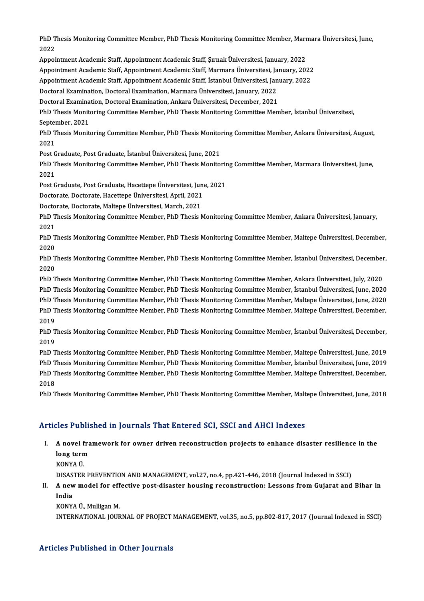PhD Thesis Monitoring Committee Member, PhD Thesis Monitoring Committee Member, Marmara Üniversitesi, June,<br>2022 PhD T<br>2022<br>Annai PhD Thesis Monitoring Committee Member, PhD Thesis Monitoring Committee Member, Marr<br>2022<br>Appointment Academic Staff, Appointment Academic Staff, Şırnak Üniversitesi, January, 2022<br>Appointment Academic Staff, Appointment A 2022<br>Appointment Academic Staff, Appointment Academic Staff, Şırnak Üniversitesi, January, 2022<br>Appointment Academic Staff, Appointment Academic Staff, Marmara Üniversitesi, January, 2022<br>Appointment Academic Staff, Appoin

Appointment Academic Staff, Appointment Academic Staff, Şırnak Üniversitesi, January, 2022<br>Appointment Academic Staff, Appointment Academic Staff, Marmara Üniversitesi, January, 2022<br>Appointment Academic Staff, Appointment Appointment Academic Staff, Appointment Academic Staff, Marmara Üniversitesi, Ja<br>Appointment Academic Staff, Appointment Academic Staff, İstanbul Üniversitesi, Jan<br>Doctoral Examination, Doctoral Examination, Marmara Üniver Appointment Academic Staff, Appointment Academic Staff, İstanbul Üniversitesi, January, 2022<br>Doctoral Examination, Doctoral Examination, Marmara Üniversitesi, January, 2022

Doctoral Examination, Doctoral Examination, Ankara Üniversitesi, December, 2021

PhD Thesis Monitoring Committee Member, PhD Thesis Monitoring Committee Member, İstanbul Üniversitesi,<br>September, 2021 PhD Thesis Monitoring Committee Member, PhD Thesis Monitoring Committee Member, İstanbul Üniversitesi,<br>September, 2021<br>PhD Thesis Monitoring Committee Member, PhD Thesis Monitoring Committee Member, Ankara Üniversitesi, Au

Septer<br>PhD T<br>2021<br>Pest C PhD Thesis Monitoring Committee Member, PhD Thesis Monitor<br>2021<br>Post Graduate, Post Graduate, İstanbul Üniversitesi, June, 2021<br>PhD Thesis Monitoring Committee Member, PhD Thesis Monitor

2021<br>Post Graduate, Post Graduate, İstanbul Üniversitesi, June, 2021<br>PhD Thesis Monitoring Committee Member, PhD Thesis Monitoring Committee Member, Marmara Üniversitesi, June,<br>2021 Post G<br>PhD T<br>2021<br>Post C PhD Thesis Monitoring Committee Member, PhD Thesis Monitorir<br>2021<br>Post Graduate, Post Graduate, Hacettepe Üniversitesi, June, 2021<br>Postarata Destarata Hasettane Üniversitesi, April 2021 2021<br>Post Graduate, Post Graduate, Hacettepe Üniversitesi, Jun<br>Doctorate, Doctorate, Hacettepe Üniversitesi, April, 2021<br>Doctorate, Doctorate, Maltane Üniversitesi, Marsh, 2021

Post Graduate, Post Graduate, Hacettepe Üniversitesi, Jun<br>Doctorate, Doctorate, Hacettepe Üniversitesi, April, 2021<br>Doctorate, Doctorate, Maltepe Üniversitesi, March, 2021<br>PhD Thesis Monitoring Committee Member, PhD Thesis

Doctorate, Doctorate, Maltepe Üniversitesi, March, 2021

Doctorate, Doctorate, Hacettepe Üniversitesi, April, 2021<br>Doctorate, Doctorate, Maltepe Üniversitesi, March, 2021<br>PhD Thesis Monitoring Committee Member, PhD Thesis Monitoring Committee Member, Ankara Üniversitesi, January PhD Thesis Monitoring Committee Member, PhD Thesis Monitoring Committee Member, Ankara Üniversitesi, January,<br>2021<br>PhD Thesis Monitoring Committee Member, PhD Thesis Monitoring Committee Member, Maltepe Üniversitesi, Decem

2021<br>PhD T<br>2020<br><sub>PhD T</sub> PhD Thesis Monitoring Committee Member, PhD Thesis Monitoring Committee Member, Maltepe Üniversitesi, December,<br>2020<br>PhD Thesis Monitoring Committee Member, PhD Thesis Monitoring Committee Member, İstanbul Üniversitesi, De

2020<br>PhD T<br>2020<br>PhD T PhD Thesis Monitoring Committee Member, PhD Thesis Monitoring Committee Member, İstanbul Üniversitesi, December<br>2020<br>PhD Thesis Monitoring Committee Member, PhD Thesis Monitoring Committee Member, Ankara Üniversitesi, July

2020<br>PhD Thesis Monitoring Committee Member, PhD Thesis Monitoring Committee Member, Ankara Üniversitesi, July, 2020<br>PhD Thesis Monitoring Committee Member, PhD Thesis Monitoring Committee Member, İstanbul Üniversitesi, Ju PhD Thesis Monitoring Committee Member, PhD Thesis Monitoring Committee Member, Ankara Üniversitesi, July, 2020<br>PhD Thesis Monitoring Committee Member, PhD Thesis Monitoring Committee Member, İstanbul Üniversitesi, June, 2

PhD Thesis Monitoring Committee Member, PhD Thesis Monitoring Committee Member, İstanbul Üniversitesi, June, 2020<br>PhD Thesis Monitoring Committee Member, PhD Thesis Monitoring Committee Member, Maltepe Üniversitesi, June, PhD Thesis Monitoring Committee Member, PhD Thesis Monitoring Committee Member, Maltepe Üniversitesi, June, 2020<br>PhD Thesis Monitoring Committee Member, PhD Thesis Monitoring Committee Member, Maltepe Üniversitesi, Decembe PhD Thesis Monitoring Committee Member, PhD Thesis Monitoring Committee Member, Maltepe Üniversitesi, December,<br>2019<br>PhD Thesis Monitoring Committee Member, PhD Thesis Monitoring Committee Member, İstanbul Üniversitesi, De

2019<br>PhD T<br>2019<br>PhD T PhD Thesis Monitoring Committee Member, PhD Thesis Monitoring Committee Member, İstanbul Üniversitesi, December,<br>2019<br>PhD Thesis Monitoring Committee Member, PhD Thesis Monitoring Committee Member, Maltepe Üniversitesi, Ju

2019<br>PhD Thesis Monitoring Committee Member, PhD Thesis Monitoring Committee Member, Maltepe Üniversitesi, June, 2019<br>PhD Thesis Monitoring Committee Member, PhD Thesis Monitoring Committee Member, İstanbul Üniversitesi, J PhD Thesis Monitoring Committee Member, PhD Thesis Monitoring Committee Member, Maltepe Üniversitesi, June, 2019<br>PhD Thesis Monitoring Committee Member, PhD Thesis Monitoring Committee Member, İstanbul Üniversitesi, June, PhD T<br>PhD T<br>2018<br>PhD T PhD Thesis Monitoring Committee Member, PhD Thesis Monitoring Committee Member, Maltepe Üniversitesi, December,<br>2018<br>PhD Thesis Monitoring Committee Member, PhD Thesis Monitoring Committee Member, Maltepe Üniversitesi, Jun

PhD Thesis Monitoring Committee Member, PhD Thesis Monitoring Committee Member, Maltepe Üniversitesi, June, 2018<br>Articles Published in Journals That Entered SCI, SSCI and AHCI Indexes

- I. A novel framework for owner driven reconstruction projects to enhance disaster resilience in the<br>L. A novel framework for owner driven reconstruction projects to enhance disaster resilience in the A novel fra<br>A novel fra<br>long term<br>KONVA Ü **A novel f<br>long tern<br>KONYAÜ.<br>DISASTER** long term<br>KONYA Ü.<br>DISASTER PREVENTION AND MANAGEMENT, vol.27, no.4, pp.421-446, 2018 (Journal Indexed in SSCI)
	-

KONYA Ü.<br>DISASTER PREVENTION AND MANAGEMENT, vol.27, no.4, pp.421-446, 2018 (Journal Indexed in SSCI)<br>II. A new model for effective post-disaster housing reconstruction: Lessons from Gujarat and Bihar in<br>India **DISAS<br>A new<br>India**<br>KONV A new model for ef<mark>f</mark><br>India<br>KONYA Ü., Mulligan M.<br>INTERNATIONAL JOUR India<br>KONYA Ü., Mulligan M.<br>INTERNATIONAL JOURNAL OF PROJECT MANAGEMENT, vol.35, no.5, pp.802-817, 2017 (Journal Indexed in SSCI)

# Articles Published in Other Journals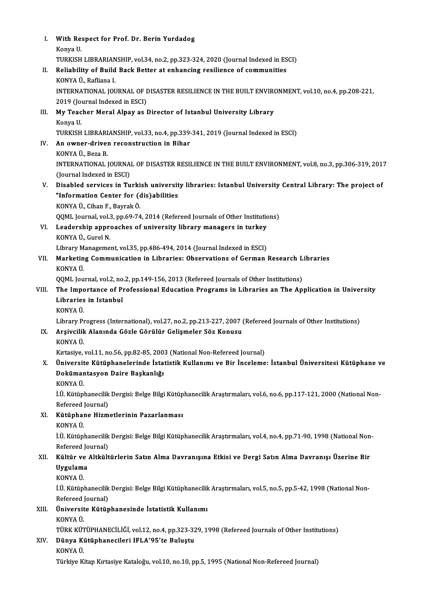| L.    | With Respect for Prof. Dr. Berin Yurdadog                                                                                                                                                |
|-------|------------------------------------------------------------------------------------------------------------------------------------------------------------------------------------------|
|       | Konya U.                                                                                                                                                                                 |
|       | TURKISH LIBRARIANSHIP, vol.34, no.2, pp.323-324, 2020 (Journal Indexed in ESCI)                                                                                                          |
| Н.    | Reliability of Build Back Better at enhancing resilience of communities                                                                                                                  |
|       | KONYA Ü., Rafliana I.                                                                                                                                                                    |
|       | INTERNATIONAL JOURNAL OF DISASTER RESILIENCE IN THE BUILT ENVIRONMENT, vol.10, no.4, pp.208-221,                                                                                         |
|       | 2019 (Journal Indexed in ESCI)                                                                                                                                                           |
| III.  | My Teacher Meral Alpay as Director of Istanbul University Library                                                                                                                        |
|       | Konya U.                                                                                                                                                                                 |
| IV.   | TURKISH LIBRARIANSHIP, vol.33, no.4, pp.339-341, 2019 (Journal Indexed in ESCI)<br>An owner-driven reconstruction in Bihar                                                               |
|       | KONYA Ü., Beza B.                                                                                                                                                                        |
|       | INTERNATIONAL JOURNAL OF DISASTER RESILIENCE IN THE BUILT ENVIRONMENT, vol.8, no.3, pp.306-319, 2017                                                                                     |
|       | (Journal Indexed in ESCI)                                                                                                                                                                |
| V.    | Disabled services in Turkish university libraries: Istanbul University Central Library: The project of                                                                                   |
|       | "Information Center for (dis)abilities                                                                                                                                                   |
|       | KONYA Ü., Cihan F., Bayrak Ö.                                                                                                                                                            |
|       | QQML Journal, vol.3, pp.69-74, 2014 (Refereed Journals of Other Institutions)                                                                                                            |
| VI.   | Leadership approaches of university library managers in turkey                                                                                                                           |
|       | KONYA Ü., Gurel N.                                                                                                                                                                       |
|       | Library Management, vol.35, pp.486-494, 2014 (Journal Indexed in ESCI)                                                                                                                   |
| VII.  | Marketing Communication in Libraries: Observations of German Research Libraries                                                                                                          |
|       | KONYA Ü                                                                                                                                                                                  |
| VIII. | QQML Journal, vol.2, no.2, pp.149-156, 2013 (Refereed Journals of Other Institutions)<br>The Importance of Professional Education Programs in Libraries an The Application in University |
|       | Libraries in Istanbul                                                                                                                                                                    |
|       | KONYA Ü                                                                                                                                                                                  |
|       | Library Progress (International), vol.27, no.2, pp.213-227, 2007 (Refereed Journals of Other Institutions)                                                                               |
|       | IX. Arşivcilik Alanında Gözle Görülür Gelişmeler Söz Konusu                                                                                                                              |
|       | KONYA Ü                                                                                                                                                                                  |
|       | Kırtasiye, vol.11, no.56, pp.82-85, 2003 (National Non-Refereed Journal)                                                                                                                 |
| X.    | Üniversite Kütüphanelerinde İstatistik Kullanımı ve Bir İnceleme: İstanbul Üniversitesi Kütüphane ve                                                                                     |
|       | Dokümantasyon Daire Başkanlığı                                                                                                                                                           |
|       | KONYA Ü                                                                                                                                                                                  |
|       | İ.Ü. Kütüphanecilik Dergisi: Belge Bilgi Kütüphanecilik Araştırmaları, vol.6, no.6, pp.117-121, 2000 (National Non-                                                                      |
| XI.   | Refereed Journal)<br>Kütüphane Hizmetlerinin Pazarlanması                                                                                                                                |
|       | KONYA Ü.                                                                                                                                                                                 |
|       | İ.Ü. Kütüphanecilik Dergisi: Belge Bilgi Kütüphanecilik Araştırmaları, vol.4, no.4, pp.71-90, 1998 (National Non-                                                                        |
|       | Refereed Journal)                                                                                                                                                                        |
| XII.  | Kültür ve Altkültürlerin Satın Alma Davranışına Etkisi ve Dergi Satın Alma Davranışı Üzerine Bir                                                                                         |
|       | Uygulama                                                                                                                                                                                 |
|       | KONYA Ü                                                                                                                                                                                  |
|       | İ.Ü. Kütüphanecilik Dergisi: Belge Bilgi Kütüphanecilik Araştırmaları, vol.5, no.5, pp.5-42, 1998 (National Non-                                                                         |
|       | Refereed Journal)                                                                                                                                                                        |
| XIII. | Üniversite Kütüphanesinde İstatistik Kullanımı                                                                                                                                           |
|       | KONYA Ü.                                                                                                                                                                                 |
| XIV.  | TÜRK KÜTÜPHANECİLİĞİ, vol.12, no.4, pp.323-329, 1998 (Refereed Journals of Other Institutions)<br>Dünya Kütüphanecileri IFLA'95'te Buluştu                                               |
|       | KONYA Ü.                                                                                                                                                                                 |
|       | Türkiye Kitap Kırtasiye Kataloğu, vol.10, no.10, pp.5, 1995 (National Non-Refereed Journal)                                                                                              |
|       |                                                                                                                                                                                          |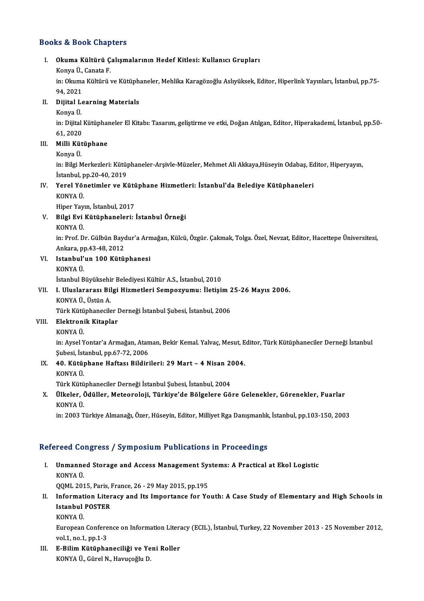## Books&Book Chapters

# ooks & Book Chapters<br>I. Okuma Kültürü Çalışmalarının Hedef Kitlesi: Kullanıcı Grupları<br>Konya Ü. Cansta E ko & Doort anap<br>Okuma Kültürü Ç<br>Konya Ü., Canata F.<br>in: Olauma Kültünü 1 Okuma Kültürü Çalışmalarının Hedef Kitlesi: Kullanıcı Grupları<br>Konya Ü., Canata F.<br>in: Okuma Kültürü ve Kütüphaneler, Mehlika Karagözoğlu Aslıyüksek, Editor, Hiperlink Yayınları, İstanbul, pp.75-Konya Ü.,<br>in: Okuma<br>94, 2021<br>Dijital Le in: Okuma Kültürü ve Kütüph:<br>94, 2021<br>II. Dijital Learning Materials<br>Kanva Ü 94, 2021<br><mark>Dijital L</mark><br>Konya Ü.<br>in: <sup>Dijital</sup> Dijital Learning Materials<br>Konya Ü.<br>in: Dijital Kütüphaneler El Kitabı: Tasarım, geliştirme ve etki, Doğan Atılgan, Editor, Hiperakademi, İstanbul, pp.50-Konya Ü.<br>in: Dijital<br>61, 2020<br>Milli Küt in: Dijital Kütüphan<br>61, 2020<br>III. **Milli Kütüphane**<br>Konya Ü 61, 2020<br>Milli Küt<br>Konya Ü.<br>in Bilgi M Konya Ü.<br>in: Bilgi Merkezleri: Kütüphaneler-Arşivle-Müzeler, Mehmet Ali Akkaya,Hüseyin Odabaş, Editor, Hiperyayın, Konya Ü.<br>in: Bilgi Merkezleri: Kütü<sub>l</sub><br>İstanbul, pp.20-40, 2019<br>Yoral Vönetimler ve Ki in: Bilgi Merkezleri: Kütüphaneler-Arşivle-Müzeler, Mehmet Ali Akkaya,Hüseyin Odabaş, Ec<br>İstanbul, pp.20-40, 2019<br>IV. Yerel Yönetimler ve Kütüphane Hizmetleri: İstanbul'da Belediye Kütüphaneleri<br>KONYA Ü İstanbul, p<br>Yerel Yön<br>KONYA Ü.<br>Hiner Yov Yerel Yönetimler ve Kütü<br>KONYA Ü.<br>Hiper Yayın, İstanbul, 2017<br>Bilgi Evi Kütünbaneleri KONYA Ü.<br>Hiper Yayın, İstanbul, 2017<br>V. Bilgi Evi Kütüphaneleri: İstanbul Örneği<br>KONYA Ü. Hiper Yayın, İstanbul, 2017 Bilgi Evi Kütüphaneleri: İstanbul Örneği<br>KONYA Ü.<br>in: Prof. Dr. Gülbün Baydur'a Armağan, Külcü, Özgür. Çakmak, Tolga. Özel, Nevzat, Editor, Hacettepe Üniversitesi, KONYA Ü.<br>in: Prof. Dr. Gülbün Bayo<br>Ankara, pp.43-48, 2012<br>Istanbul'un 100 Kütü in: Prof. Dr. Gülbün Baydur'a Arn<br>Ankara, pp.43-48, 2012<br>VI. Istanbul'un 100 Kütüphanesi<br>KONYA Ü Ankara, p<mark><br>Istanbul'</mark><br>KONYA Ü.<br>İstanbul P <mark>Istanbul'un 100 Kütüphanesi</mark><br>KONYA Ü.<br>İstanbul Büyüksehir Belediyesi Kültür A.S., İstanbul, 2010<br>L. Uluslananası Bilsi Hirmatlari Samnarıyımıyı, İletisi KONYA Ü.<br>İstanbul Büyüksehir Belediyesi Kültür A.S., İstanbul, 2010<br>VII. I. Uluslararası Bilgi Hizmetleri Sempozyumu: İletişim 25-26 Mayıs 2006.<br>KONYA Ü., Üstün A. İstanbul Büyüksehi<br>I. Uluslararası Bil<br>KONYA Ü., Üstün A.<br>Türk Kütünbanesil I. Uluslararası Bilgi Hizmetleri Sempozyumu: İletişim 2<br>KONYA Ü., Üstün A.<br>Türk Kütüphaneciler Derneği İstanbul Şubesi, İstanbul, 2006<br>Elektronik Kitanlar VIII. Elektronik Kitaplar<br>KONYA Ü. Türk Kütü<br>**Elektron**i<br>KONYA Ü.<br>in Avçel Y El<mark>ektronik Kitaplar</mark><br>KONYA Ü.<br>in: Aysel Yontar'a Armağan, Ataman, Bekir Kemal. Yalvaç, Mesut, Editor, Türk Kütüphaneciler Derneği İstanbul<br>Subesi, İstanbul, pp.67.72.2006 KONYA Ü.<br>in: Aysel Yontar'a Armağan, Atan<br>Şubesi, İstanbul, pp.67-72, 2006<br>40. Kütünbane Heftesı Bildiri in: Aysel Yontar'a Armağan, Ataman, Bekir Kemal. Yalvaç, Mesut, E<br>Şubesi, İstanbul, pp.67-72, 2006<br>IX. 40. Kütüphane Haftası Bildirileri: 29 Mart – 4 Nisan 2004.<br>KONYA Ü Şubesi, İst<br>**40. Kütü<sub>l</sub>**<br>KONYA Ü.<br>Türk Kütü 40. Kütüphane Haftası Bildirileri: 29 Mart – 4 Nisan 20<br>KONYA Ü.<br>Türk Kütüphaneciler Derneği İstanbul Şubesi, İstanbul, 2004<br>Ülkeler, Ödüller, Meteoroleji, Türkiye'de Bölgelere Gö KONYA Ü.<br>Türk Kütüphaneciler Derneği İstanbul Şubesi, İstanbul, 2004<br>X. Ülkeler, Ödüller, Meteoroloji, Türkiye'de Bölgelere Göre Gelenekler, Görenekler, Fuarlar<br>KONYA Ü. Türk Kütüphaneciler Derneği İstanbul Şubesi, İstanbul, 2004

in:2003TürkiyeAlmanağı,Özer,Hüseyin,Editor,Mil iyetRgaDanışmanlık, İstanbul,pp.103-150,2003

# Refereed Congress / Symposium Publications in Proceedings

efereed Congress / Symposium Publications in Proceedings<br>I. Unmanned Storage and Access Management Systems: A Practical at Ekol Logistic<br>KONVA Ü Teca do<br>Unmanne<br>KONYA Ü. Unmanned Storage and Access Management Sy:<br>KONYA Ü.<br>QQML 2015, Paris, France, 26 - 29 May 2015, pp.195<br>Information Literacy and Its Importance for Yo

I . Information Literacy and Its Importance for Youth: A Case Study of Elementary and High Schools in QQML 2015, Paris, France, 26 - 29 May 2015, pp.195<br>Information Literacy and Its Importance for You<br>Istanbul POSTER<br>KONYA Ü. Informat<br>Istanbul<br>KONYAÜ.<br>European

Istanbul POSTER<br>KONYA Ü.<br>European Conference on Information Literacy (ECIL), İstanbul, Turkey, 22 November 2013 - 25 November 2012,<br>Vel.1, na.1, nn.1, 3 KONYA Ü.<br>European Confere<br>vol.1, no.1, pp.1-3<br>E. Bilim Kütünbe European Conference on Information Litera<br>vol.1, no.1, pp.1-3<br>III. E-Bilim Kütüphaneciliği ve Yeni Roller<br>KONVA Ü. Gürel N. Hayuseğlu D.

vol.1, no.1, pp.1-3<br><mark>E-Bilim Kütüphaneciliği ve Ye</mark><br>KONYA Ü., Gürel N., Havuçoğlu D.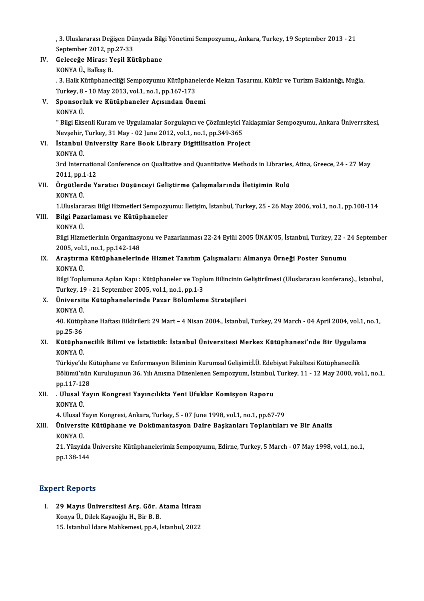, 3. Uluslararası Değişen Dünyada Bilgi Yönetimi Sempozyumu,, Ankara, Turkey, 19 September 2013 - 21<br>September 2013, np.27.22 , 3. Uluslararası Değişen Dü<br>September 2012, pp.27-33<br>Celeseže Minesı Yesil Kü , 3. Uluslararası Değişen Dünyada Bilg<br>September 2012, pp.27-33<br>IV. Geleceğe Miras: Yeşil Kütüphane<br>KONYA Ü. Balkas B September 2012, pp<br>Geleceğe Miras: Y<br>KONYA Ü., Balkaş B.<br>2. Hall: Kütünbanes

Geleceğe Miras: Yeşil Kütüphane<br>KONYA Ü., Balkaş B.<br>. 3. Halk Kütüphaneciliği Sempozyumu Kütüphanelerde Mekan Tasarımı, Kültür ve Turizm Baklanlığı, Muğla,<br>Turkay 8, . 10 May 2012, vol.1, po.1, pp.167, 173 KONYA Ü., Balkaş B.<br>. 3. Halk Kütüphaneciliği Sempozyumu Kütüphane<br>Turkey, 8 - 10 May 2013, vol.1, no.1, pp.167-173<br>Sponsorluk ve Kütüphaneler, Asısından Öne 9. S. Halk Kütüphaneciliği Sempozyumu Kütüphaneler<br>Turkey, 8 - 10 May 2013, vol.1, no.1, pp.167-173<br>V. Sponsorluk ve Kütüphaneler Açısından Önemi<br>KONYA Ü

# Turkey, 8<br>Sponsorl<br>KONYA Ü.<br>" <sup>Bilgi Elg</sup>

Sponsorluk ve Kütüphaneler Açısından Önemi<br>KONYA Ü.<br>" Bilgi Eksenli Kuram ve Uygulamalar Sorgulayıcı ve Çözümleyici Yaklaşımlar Sempozyumu, Ankara Üniverrsitesi, KONYA Ü.<br>" Bilgi Eksenli Kuram ve Uygulamalar Sorgulayıcı ve Çözümleyici Y<br>Nevşehir, Turkey, 31 May - 02 June 2012, vol.1, no.1, pp.349-365<br>İstanbul University Bare Baek Library, Disitilisation Braje Nevșehir, Turkey, 31 May - 02 June 2012, vol.1, no.1, pp.349-365

# VI. İstanbul University Rare Book Library Digitilisation Project

3rd International Conference on Qualitative and Quantitative Methods in Libraries, Atina, Greece, 24 - 27 May KONYA Ü.<br>3rd Internation<br>2011, pp.1-12<br>Örgütlerde V.

# VII. Örgütlerde Yaratıcı Düşünceyi Geliştirme Çalışmalarında İletişimin Rolü<br>KONYA Ü. 2011, pp.1<br>**Örgütler**d<br>KONYA Ü.<br>1 Uluelare Örgütlerde Yaratıcı Düşünceyi Geliştirme Çalışmalarında İletişimin Rolü<br>KONYA Ü.<br>1.Uluslararası Bilgi Hizmetleri Sempozyumu: İletişim, İstanbul, Turkey, 25 - 26 May 2006, vol.1, no.1, pp.108-114<br>Bilgi Pererlemesı ve Kütünb

# VIII. Bilgi Pazarlaması ve Kütüphaneler<br>KONYA Ü. 1.Uluslara<br><mark>Bilgi Paz</mark>a<br>KONYA Ü.<br><sup>Bilgi Hirm</sub></sup>

Bilgi Pazarlaması ve Kütüphaneler<br>KONYA Ü.<br>Bilgi Hizmetlerinin Organizasyonu ve Pazarlanması 22-24 Eylül 2005 ÜNAK'05, İstanbul, Turkey, 22 - 24 September<br>2005. val.1. na.1. nn.142 148 KONYA Ü.<br>Bilgi Hizmetlerinin Organizasy<br>2005, vol.1, no.1, pp.142-148<br>Arasturma Kütünbanalerin Bilgi Hizmetlerinin Organizasyonu ve Pazarlanması 22-24 Eylül 2005 ÜNAK'05, İstanbul, Turkey, 22 - 2<br>2005, vol.1, no.1, pp.142-148<br>IX. Araştırma Kütüphanelerinde Hizmet Tanıtım Çalışmaları: Almanya Örneği Poster Sunumu

# 2005, vol.1, no.1, pp.142-148<br>IX. Araştırma Kütüphanelerinde Hizmet Tanıtım Çalışmaları: Almanya Örneği Poster Sunumu<br>KONYA Ü. Araştırma Kütüphanelerinde Hizmet Tanıtım Çalışmaları: Almanya Örneği Poster Sunumu<br>KONYA Ü.<br>Bilgi Toplumuna Açılan Kapı : Kütüphaneler ve Toplum Bilincinin Geliştirilmesi (Uluslararası konferans)., İstanbul,<br>Turkay 19, 21

KONYA Ü.<br>Bilgi Toplumuna Açılan Kapı : Kütüphaneler ve Topl<br>Turkey, 19 - 21 September 2005, vol.1, no.1, pp.1-3<br>Üniversite Kütüphanelerinde Bazar Bölümlem Bilgi Toplumuna Açılan Kapı : Kütüphaneler ve Toplum Bilincinin G<br>Turkey, 19 - 21 September 2005, vol.1, no.1, pp.1-3<br>X. Üniversite Kütüphanelerinde Pazar Bölümleme Stratejileri<br>KONYA Ü

# Turkey, 19<br><mark>Üniversit</mark><br>KONYA Ü.

**Üniversite Kütüphanelerinde Pazar Bölümleme Stratejileri**<br>KONYA Ü.<br>40. Kütüphane Haftası Bildirileri: 29 Mart – 4 Nisan 2004., İstanbul, Turkey, 29 March - 04 April 2004, vol.1, no.1, KONYA Ü.<br>40. Kütüp<br>pp.25-36<br>Kütünbe 40. Kütüphane Haftası Bildirileri: 29 Mart – 4 Nisan 2004., İstanbul, Turkey, 29 March - 04 April 2004, vol.1, 1<br>pp.25-36<br>XI. Kütüphanecilik Bilimi ve İstatistik: İstanbul Üniversitesi Merkez Kütüphanesi'nde Bir Uygulama<br>K

# pp.25-36<br><mark>Kütüphaı</mark><br>KONYA Ü.<br>Türkiye'de Kütüphanecilik Bilimi ve İstatistik: İstanbul Üniversitesi Merkez Kütüphanesi'nde Bir Uygulam<br>KONYA Ü.<br>Türkiye'de Kütüphane ve Enformasyon Biliminin Kurumsal Gelişimi:İ.Ü. Edebiyat Fakültesi Kütüphanecilik<br>Bölümü'nün Kurul

KONYA Ü.<br>Türkiye'de Kütüphane ve Enformasyon Biliminin Kurumsal Gelişimi:İ.Ü. Edebiyat Fakültesi Kütüphanecilik<br>Bölümü'nün Kuruluşunun 36. Yılı Anısına Düzenlenen Sempozyum, İstanbul, Turkey, 11 - 12 May 2000, vol.1, no.1, Türkiye'de K<br>Bölümü'nün<br>pp.117-128<br>Hlusel Yex Bölümü'nün Kuruluşunun 36. Yılı Anısına Düzenlenen Sempozyum, İstanbul,<br>pp.117-128<br>XII. . Ulusal Yayın Kongresi Yayıncılıkta Yeni Ufuklar Komisyon Raporu<br>konya ü

# pp.117-12<br>M<mark>Ulusal Y</mark><br>KONYA Ü. . Ulusal Yayın Kongresi Yayıncılıkta Yeni Ufuklar Komisyon Raporu<br>KONYA Ü.<br>4. Ulusal Yayın Kongresi, Ankara, Turkey, 5 - 07 June 1998, vol.1, no.1, pp.67-79<br>Üniversite Kütünbane ve Dokümantasyon Daire Baskanları Tonlantıla

# KONYA Ü.<br>4. Ulusal Yayın Kongresi, Ankara, Turkey, 5 - 07 June 1998, vol.1, no.1, pp.67-79<br>XIII. Üniversite Kütüphane ve Dokümantasyon Daire Başkanları Toplantıları ve Bir Analiz<br>KONYA Ü 4. Ulusal Y<br><mark>Üniversit</mark><br>KONYA Ü.<br>21. Vüryk Üniversite Kütüphane ve Dokümantasyon Daire Başkanları Toplantıları ve Bir Analiz<br>KONYA Ü.<br>21. Yüzyılda Üniversite Kütüphanelerimiz Sempozyumu, Edirne, Turkey, 5 March - 07 May 1998, vol.1, no.1,<br>nn 129 144

KONYA Ü.<br>21. Yüzyılda Üniversite Kütüphanelerimiz Sempozyumu, Edirne, Turkey, 5 March - 07 May 1998, vol.1, no.1,<br>pp.138-144

# **Expert Reports**

Xpert Reports<br>I. 29 Mayıs Üniversitesi Arş. Gör. Atama İtirazı<br>Kanya Ü. Dilek Kayaağlu H. Bir B. B 11 Nopoles<br>29 Mayıs Üniversitesi Arş. Gör. A<br>Konya Ü., Dilek Kayaoğlu H., Bir B. B.<br>15 İstanbul İdare Mahkamesi nn 4 İ 29 Mayıs Üniversitesi Arş. Gör. Atama İtirazı<br>Konya Ü., Dilek Kayaoğlu H., Bir B. B.<br>15. İstanbul İdare Mahkemesi, pp.4, İstanbul, 2022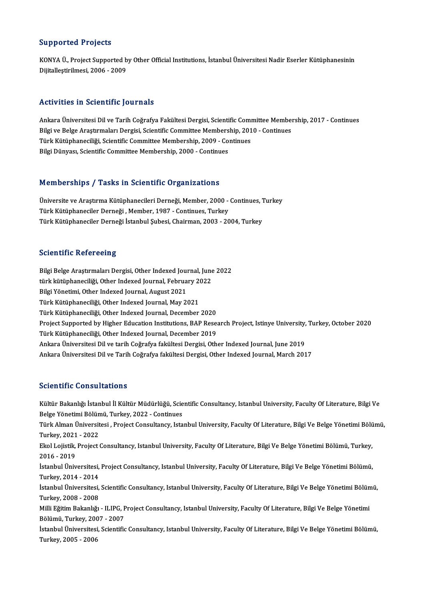## Supported Projects

Supported Projects<br>KONYA Ü., Project Supported by Other Official Institutions, İstanbul Üniversitesi Nadir Eserler Kütüphanesinin<br>Dijitallestirilmesi, 2006, ...2009 Bupporteer in 9jecter<br>KONYA Ü., Project Supported b<br>Dijitalleştirilmesi, 2006 - 2009

# Dijitalleștirilmesi, 2006 - 2009<br>Activities in Scientific Journals

Activities in Scientific Journals<br>Ankara Üniversitesi Dil ve Tarih Coğrafya Fakültesi Dergisi, Scientific Committee Membership, 2017 - Continues<br>Bilgi ve Belge Anatumaları Dergisi, Scientific Committee Membership, 2010, Co ITCHV IIICS III SCICHTIILE JOUI IIUIS<br>Ankara Üniversitesi Dil ve Tarih Coğrafya Fakültesi Dergisi, Scientific Committee Member<br>Bilgi ve Belge Araştırmaları Dergisi, Scientific Committee Membership, 2010 - Continues<br>Türk Kü Ankara Üniversitesi Dil ve Tarih Coğrafya Fakültesi Dergisi, Scientific Com<br>Bilgi ve Belge Araştırmaları Dergisi, Scientific Committee Membership, 201<br>Türk Kütüphaneciliği, Scientific Committee Membership, 2009 - Continues Bilgi ve Belge Araştırmaları Dergisi, Scientific Committee Membership, 2010 - Continues<br>Türk Kütüphaneciliği, Scientific Committee Membership, 2009 - Continues<br>Bilgi Dünyası, Scientific Committee Membership, 2000 - Continu

## Memberships / Tasks in Scientific Organizations

Üniversite ve Araştırma Kütüphanecileri Derneği, Member, 2000 - Continues, Turkey Türk Kütüphaneciler Derneği, Member, 1987 - Continues, Turkey Türk Kütüphaneciler Derneği İstanbul Şubesi, Chairman, 2003 - 2004, Turkey

## **Scientific Refereeing**

Scientific Refereeing<br>Bilgi Belge Araştırmaları Dergisi, Other Indexed Journal, June 2022<br>türk kütünbanesliği, Other Indexed Journal, Eshmuarı 2022 berentime Nerereemg<br>Bilgi Belge Araştırmaları Dergisi, Other Indexed Journal, June<br>türk kütüphaneciliği, Other Indexed Journal, February 2022<br>Bilgi Yönetimi, Other Indexed Journal, August 2021 Bilgi Yönetimi, Other Indexed Journal, August 2021<br>Türk Kütüphaneciliği, Other Indexed Journal, May 2021 türk kütüphaneciliği, Other Indexed Journal, February 2022 Türk Kütüphaneciliği, Other Indexed Journal, December 2020 Türk Kütüphaneciliği, Other Indexed Journal, May 2021<br>Türk Kütüphaneciliği, Other Indexed Journal, December 2020<br>Project Supported by Higher Education Institutions, BAP Research Project, Istinye University, Turkey, October Türk Kütüphaneciliği, Other Indexed Journal, December 2020<br>Project Supported by Higher Education Institutions, BAP Resea<br>Türk Kütüphaneciliği, Other Indexed Journal, December 2019<br>Ankara Üniversitesi Dil ve tarih Ceğrefya Project Supported by Higher Education Institutions, BAP Research Project, Istinye University,<br>Türk Kütüphaneciliği, Other Indexed Journal, December 2019<br>Ankara Üniversitesi Dil ve Tarih Coğrafya fakültesi Dergisi, Other In Türk Kütüphaneciliği, Other Indexed Journal, December 2019<br>Ankara Üniversitesi Dil ve tarih Coğrafya fakültesi Dergisi, Other Indexed Journal, June 2019<br>Ankara Üniversitesi Dil ve Tarih Coğrafya fakültesi Dergisi, Other In

## Scientific Consultations

Scientific Consultations<br>Kültür Bakanlığı İstanbul İl Kültür Müdürlüğü, Scientific Consultancy, Istanbul University, Faculty Of Literature, Bilgi Ve<br>Rekse Vänetimi Bölümü, Turkey, 2022, Continues Belentime Sombartations<br>Kültür Bakanlığı İstanbul İl Kültür Müdürlüğü, Scie<br>Belge Yönetimi Bölümü, Turkey, 2022 - Continues<br>Türk Alman Üniversitesi, Prejest Consultansu, Ista Kültür Bakanlığı İstanbul İl Kültür Müdürlüğü, Scientific Consultancy, Istanbul University, Faculty Of Literature, Bilgi Ve<br>Belge Yönetimi Bölümü, Turkey, 2022 - Continues<br>Türk Alman Üniversitesi , Project Consultancy, Ist Belge Yönetimi Bölün<br>Türk Alman Üniversit<br>Turkey, 2021 - 2022<br>Ekol Lojistik Project t Türk Alman Üniversitesi , Project Consultancy, Istanbul University, Faculty Of Literature, Bilgi Ve Belge Yönetimi Bölü<br>Turkey, 2021 - 2022<br>Ekol Lojistik, Project Consultancy, Istanbul University, Faculty Of Literature, Bi Turkey, 2021 - 2022<br>Ekol Lojistik, Project<br>2016 - 2019 Ekol Lojistik, Project Consultancy, Istanbul University, Faculty Of Literature, Bilgi Ve Belge Yönetimi Bölümü, Turkey,<br>2016 - 2019<br>İstanbul Üniversitesi, Project Consultancy, Istanbul University, Faculty Of Literature, Bi İstanbul Üniversitesi, Project Consultancy, Istanbul University, Faculty Of Literature, Bilgi Ve Belge Yönetimi Bölümü, İstanbul Üniversitesi, Project Consultancy, Istanbul University, Faculty Of Literature, Bilgi Ve Belge Yönetimi Bölümü,<br>Turkey, 2014 - 2014<br>İstanbul Üniversitesi, Scientific Consultancy, Istanbul University, Faculty Of Lit Turkey, 2014 - 2014<br>İstanbul Üniversitesi,<br>Turkey, 2008 - 2008<br>Milli Eğitim Bakanlığı İstanbul Üniversitesi, Scientific Consultancy, Istanbul University, Faculty Of Literature, Bilgi Ve Belge Yönetimi Bölün<br>Turkey, 2008 - 2008<br>Milli Eğitim Bakanlığı - ILIPG, Project Consultancy, Istanbul University, Faculty Turkey, 2008 - 2008<br>Milli Eğitim Bakanlığı - ILIPG, Project Consultancy, Istanbul University, Faculty Of Literature, Bilgi Ve Belge Yönetimi İstanbul Üniversitesi, Scientific Consultancy, Istanbul University, Faculty Of Literature, Bilgi Ve Belge Yönetimi Bölümü,<br>Turkey, 2005 - 2006 Bölümü, Turkey, 2007 - 2007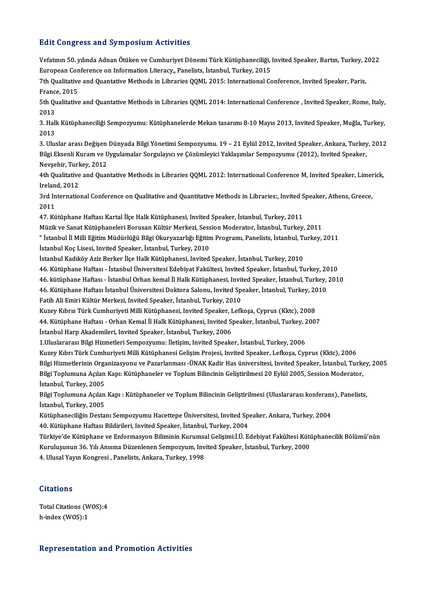## **Edit Congress and Symposium Activities**

Edit Congress and Symposium Activities<br>Vefatının 50. yılında Adnan Ötüken ve Cumhuriyet Dönemi Türk Kütüphaneciliği, Invited Speaker, Bartın, Turkey, 2022<br>European Conference en Information Literegy, Banelista İstanbul Tur Euro Gongress und by inposium neuvities<br>Vefatinin 50. yılında Adnan Ötüken ve Cumhuriyet Dönemi Türk Kütüphaneciliği,<br>European Conference on Information Literacy,, Panelists, İstanbul, Turkey, 2015<br>7th Qualitative and Quan Vefatının 50. yılında Adnan Ötüken ve Cumhuriyet Dönemi Türk Kütüphaneciliği, Invited Speaker, Bartın, Turkey, 2<br>European Conference on Information Literacy,, Panelists, İstanbul, Turkey, 2015<br>7th Qualitative and Quantativ

European Con<br>7th Qualitative<br>France, 2015<br>5th Qualitative 7th Qualitative and Quantative Methods in Libraries QQML 2015: International Conference, Invited Speaker, Paris,<br>France, 2015<br>5th Qualitative and Quantative Methods in Libraries QQML 2014: International Conference , Invite

France, 2015<br>5th Qualitative and Quantative Methods in Libraries QQML 2014: International Conference , Invited Speaker, Rome, Italy,<br>2013 5th Qualitative and Quantative Methods in Libraries QQML 2014: International Conference , Invited Speaker, Rome, Italy,<br>2013<br>3. Halk Kütüphaneciliği Sempozyumu: Kütüphanelerde Mekan tasarımı 8-10 Mayıs 2013, Invited Speake

2013<br>3. Hall<br>2013 3. Halk Kütüphaneciliği Sempozyumu: Kütüphanelerde Mekan tasarımı 8-10 Mayıs 2013, Invited Speaker, Muğla, Turkey,<br>2013<br>3. Uluslar arası Değişen Dünyada Bilgi Yönetimi Sempozyumu. 19 – 21 Eylül 2012, Invited Speaker, Ankar

2013<br>3. Uluslar arası Değişen Dünyada Bilgi Yönetimi Sempozyumu. 19 – 21 Eylül 2012, Invited Speaker, Ankara, Turkey<br>Bilgi Eksenli Kuram ve Uygulamalar Sorgulayıcı ve Çözümleyici Yaklaşımlar Sempozyumu (2012), Invited Spea 3. Uluslar arası Değişen<br>Bilgi Eksenli Kuram ve U<br>Nevşehir, Turkey, 2012<br><sup>4th</sup> Qualitative and Quar Bilgi Eksenli Kuram ve Uygulamalar Sorgulayıcı ve Çözümleyici Yaklaşımlar Sempozyumu (2012), Invited Speaker,<br>Nevşehir, Turkey, 2012<br>4th Qualitative and Quantative Methods in Libraries QQML 2012: International Conference M

Nevşehir, Turl<br>4th Qualitative<br>Ireland, 2012<br><sup>2</sup>rd Internatio 4th Qualitative and Quantative Methods in Libraries QQML 2012: International Conference M, Invited Speaker, Limer<br>Ireland, 2012<br>3rd International Conference on Qualitative and Quantitative Methods in Libraries:, Invited Sp

Ireland, 2012<br>3rd International Conference on Qualitative and Quantitative Methods in Libraries:, Invited Speaker, Athens, Greece,<br>2011

47. Kütüphane Haftası Kartal İlçe Halk Kütüphanesi, Invited Speaker, İstanbul, Turkey, 2011

Müzik ve Sanat Kütüphaneleri Borusan Kültür Merkezi, Session Moderator, İstanbul, Turkey, 2011

47. Kütüphane Haftası Kartal İlçe Halk Kütüphanesi, Invited Speaker, İstanbul, Turkey, 2011<br>Müzik ve Sanat Kütüphaneleri Borusan Kültür Merkezi, Session Moderator, İstanbul, Turkey, 2011<br>" İstanbul İl Milli Eğitim Müdürlüğ Müzik ve Sanat Kütüphaneleri Borusan Kültür Merkezi, Sess<br>" İstanbul İl Milli Eğitim Müdürlüğü Bilgi Okuryazarlığı Eğitin<br>İstanbul Koç Lisesi, Invited Speaker, İstanbul, Turkey, 2010<br>İstanbul Koçliköv Azir Berker İleş Helk " İstanbul İl Milli Eğitim Müdürlüğü Bilgi Okuryazarlığı Eğitim Programı, Panelists, İstanbul, Tu<br>İstanbul Koç Lisesi, Invited Speaker, İstanbul, Turkey, 2010<br>İstanbul Kadıköy Aziz Berker İlçe Halk Kütüphanesi, Invited Spe

İstanbul Koç Lisesi, Invited Speaker, İstanbul, Turkey, 2010<br>İstanbul Kadıköy Aziz Berker İlçe Halk Kütüphanesi, Invited Speaker, İstanbul, Turkey, 2010<br>46. Kütüphane Haftası - İstanbul Üniversitesi Edebiyat Fakültesi, Inv 46. Kütüphane Haftası - İstanbul Üniversitesi Edebiyat Fakültesi, Invited Speaker, İstanbul, Turkey, 20<br>46. kütüphane Haftası - İstanbul Orhan kemal İl Halk Kütüphanesi, Invited Speaker, İstanbul, Turkey,<br>46. Kütüphane Haf

İstanbul Kadıköy Aziz Berker İlçe Halk Kütüphanesi, Invited Speaker, İstanbul, Turkey, 2010<br>46. Kütüphane Haftası - İstanbul Üniversitesi Edebiyat Fakültesi, Invited Speaker, İstanbul, Turkey, 2010<br>46. kütüphane Haftası -

46. kütüphane Haftası - İstanbul Orhan kemal İl Halk Kütüphanesi, Invited Speaker, İstanbul, Turkey, 2010<br>46. Kütüphane Haftası İstanbul Üniversitesi Doktora Salonu, Invited Speaker, İstanbul, Turkey, 2010<br>Fatih Ali Emiri

Kuzey Kıbrıs Türk Cumhuriyeti Milli Kütüphanesi, Invited Speaker, Lefkoşa, Cyprus (Kktc), 2008

Fatih Ali Emiri Kültür Merkezi, Invited Speaker, İstanbul, Turkey, 2010<br>Kuzey Kıbrıs Türk Cumhuriyeti Milli Kütüphanesi, Invited Speaker, Lefkoşa, Cyprus (Kktc), 2008<br>44. Kütüphane Haftası - Orhan Kemal İl Halk Kütüphanesi 44. Kütüphane Haftası - Orhan Kemal İl Halk Kütüphanesi, Invited Speaker, İstanbul, Turkey, 2<br>İstanbul Harp Akademileri, Invited Speaker, İstanbul, Turkey, 2006<br>1.Uluslararası Bilgi Hizmetleri Sempozyumu: İletişim, Invited

İstanbul Harp Akademileri, Invited Speaker, İstanbul, Turkey, 2006<br>1.Uluslararası Bilgi Hizmetleri Sempozyumu: İletişim, Invited Speaker, İstanbul, Turkey, 2006

Kuzey Kıbrı Türk Cumhuriyeti Milli Kütüphanesi Gelişim Projesi, Invited Speaker, Lefkoşa, Cyprus (Kktc), 2006

1.Uluslararası Bilgi Hizmetleri Sempozyumu: İletişim, Invited Speaker, İstanbul, Turkey, 2006<br>Kuzey Kıbrı Türk Cumhuriyeti Milli Kütüphanesi Gelişim Projesi, Invited Speaker, Lefkoşa, Cyprus (Kktc), 2006<br>Bilgi Hizmetlerini Kuzey Kıbrı Türk Cumhuriyeti Milli Kütüphanesi Gelişim Projesi, Invited Speaker, Lefkoşa, Cyprus (Kktc), 2006<br>Bilgi Hizmetlerinin Organizasyonu ve Pazarlanması -ÜNAK Kadir Has üniversitesi, Invited Speaker, İstanbul, Turk<br> Bilgi Hizmetlerinin Orga<br>Bilgi Toplumuna Açılan<br>İstanbul, Turkey, 2005<br>Bilgi Toplumuna Agılan

Bilgi Toplumuna Açılan Kapı: Kütüphaneler ve Toplum Bilincinin Geliştirilmesi 20 Eylül 2005, Session Moderator,<br>İstanbul, Turkey, 2005<br>Bilgi Toplumuna Açılan Kapı : Kütüphaneler ve Toplum Bilincinin Geliştirilmesi (Uluslar İstanbul, Turkey, 2005<br>Bilgi Toplumuna Açılan<br>İstanbul, Turkey, 2005<br>Kütünbanesiliğin Desta Bilgi Toplumuna Açılan Kapı : Kütüphaneler ve Toplum Bilincinin Geliştirilmesi (Uluslararası konferans<br>İstanbul, Turkey, 2005<br>Kütüphaneciliğin Destanı Sempozyumu Hacettepe Üniversitesi, Invited Speaker, Ankara, Turkey, 200

İstanbul, Turkey, 2005<br>Kütüphaneciliğin Destanı Sempozyumu Hacettepe Üniversitesi, Invited Speaker, Ankara, Turkey, 2004<br>40. Kütüphane Haftası Bildirileri, Invited Speaker, İstanbul, Turkey, 2004

Türkiye'de Kütüphane ve Enformasyon Biliminin Kurumsal Gelişimi:İ.Ü. Edebiyat Fakültesi Kütüphanecilik Bölümü'nün 40. Kütüphane Haftası Bildirileri, Invited Speaker, İstanbul, Turkey, 2004<br>Türkiye'de Kütüphane ve Enformasyon Biliminin Kurumsal Gelişimi:İ.Ü. Edebiyat Fakültesi Küti<br>Kuruluşunun 36. Yılı Anısına Düzenlenen Sempozyum, Inv Türkiye'de Kütüphane ve Enformasyon Biliminin Kurumsa<br>Kuruluşunun 36. Yılı Anısına Düzenlenen Sempozyum, Inv<br>4. Ulusal Yayın Kongresi , Panelists, Ankara, Turkey, 1998

4. Ulusal Yayın Kongresi , Panelists, Ankara, Turkey, 1998<br>Citations

Citations<br>Total Citations (WOS):4<br>b.indox (WOS):1 h-index (WOS):1

# h-index (WOS):1<br>Representation and Promotion Activities